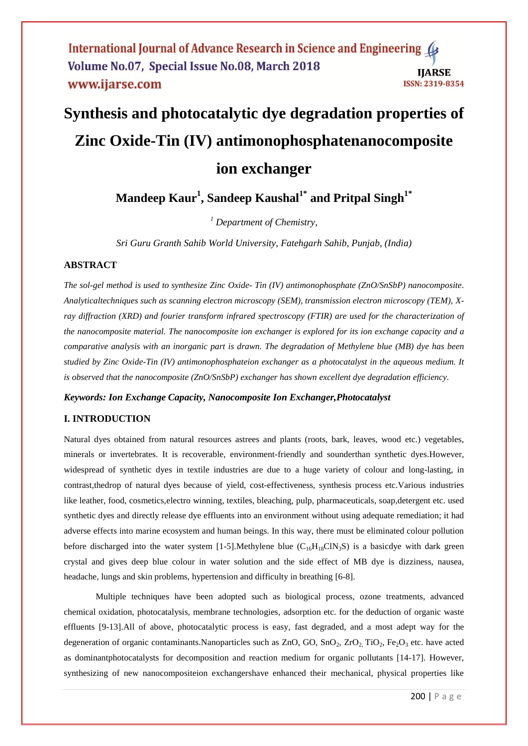# **Synthesis and photocatalytic dye degradation properties of Zinc Oxide-Tin (IV) antimonophosphatenanocomposite ion exchanger**

**Mandeep Kaur 1 , Sandeep Kaushal1\* and Pritpal Singh1\***

*<sup>1</sup> Department of Chemistry,*

*Sri Guru Granth Sahib World University, Fatehgarh Sahib, Punjab, (India)*

# **ABSTRACT**

*The sol-gel method is used to synthesize Zinc Oxide- Tin (IV) antimonophosphate (ZnO/SnSbP) nanocomposite. Analyticaltechniques such as scanning electron microscopy (SEM), transmission electron microscopy (TEM), X*ray diffraction (XRD) and fourier transform infrared spectroscopy (FTIR) are used for the characterization of *the nanocomposite material. The nanocomposite ion exchanger is explored for its ion exchange capacity and a comparative analysis with an inorganic part is drawn. The degradation of Methylene blue (MB) dye has been studied by Zinc Oxide-Tin (IV) antimonophosphateion exchanger as a photocatalyst in the aqueous medium. It is observed that the nanocomposite (ZnO/SnSbP) exchanger has shown excellent dye degradation efficiency.* 

#### *Keywords: Ion Exchange Capacity, Nanocomposite Ion Exchanger,Photocatalyst*

# **I. INTRODUCTION**

Natural dyes obtained from natural resources astrees and plants (roots, bark, leaves, wood etc.) vegetables, minerals or invertebrates. It is recoverable, environment-friendly and sounderthan synthetic dyes.However, widespread of synthetic dyes in textile industries are due to a huge variety of colour and long-lasting, in contrast,thedrop of natural dyes because of yield, cost-effectiveness, synthesis process etc.Various industries like leather, food, cosmetics,electro winning, textiles, bleaching, pulp, pharmaceuticals, soap,detergent etc. used synthetic dyes and directly release dye effluents into an environment without using adequate remediation; it had adverse effects into marine ecosystem and human beings. In this way, there must be eliminated colour pollution before discharged into the water system [1-5]. Methylene blue  $(C_{16}H_{18}CIN_3S)$  is a basicdye with dark green crystal and gives deep blue colour in water solution and the side effect of MB dye is dizziness, nausea, headache, lungs and skin problems, hypertension and difficulty in breathing [6-8].

Multiple techniques have been adopted such as biological process, ozone treatments, advanced chemical oxidation, photocatalysis, membrane technologies, adsorption etc. for the deduction of organic waste effluents [9-13].All of above, photocatalytic process is easy, fast degraded, and a most adept way for the degeneration of organic contaminants.Nanoparticles such as  $ZnO$ ,  $GO$ ,  $SnO_2$ ,  $ZrO_2$ ,  $TiO_2$ ,  $Fe_2O_3$  etc. have acted as dominantphotocatalysts for decomposition and reaction medium for organic pollutants [14-17]. However, synthesizing of new nanocompositeion exchangershave enhanced their mechanical, physical properties like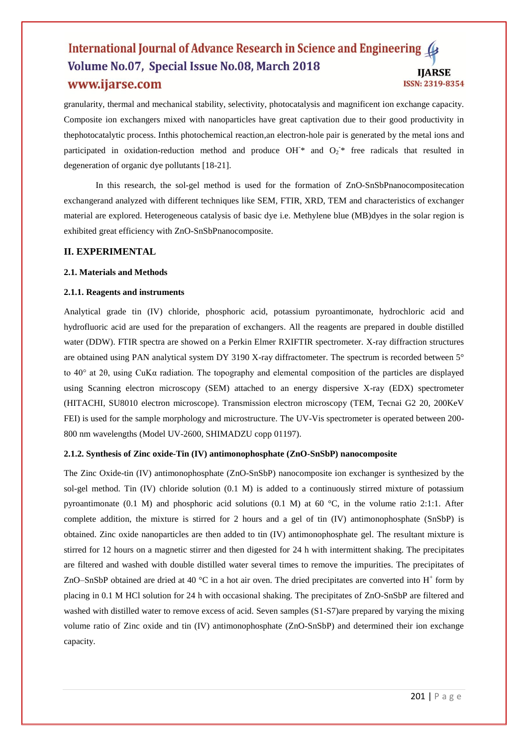granularity, thermal and mechanical stability, selectivity, photocatalysis and magnificent ion exchange capacity. Composite ion exchangers mixed with nanoparticles have great captivation due to their good productivity in thephotocatalytic process. Inthis photochemical reaction,an electron-hole pair is generated by the metal ions and participated in oxidation-reduction method and produce OH<sup>-\*</sup> and  $O_2^*$  free radicals that resulted in degeneration of organic dye pollutants [18-21].

In this research, the sol-gel method is used for the formation of ZnO-SnSbPnanocompositecation exchangerand analyzed with different techniques like SEM, FTIR, XRD, TEM and characteristics of exchanger material are explored. Heterogeneous catalysis of basic dye i.e. Methylene blue (MB)dyes in the solar region is exhibited great efficiency with ZnO-SnSbPnanocomposite.

# **II. EXPERIMENTAL**

#### **2.1. Materials and Methods**

#### **2.1.1. Reagents and instruments**

Analytical grade tin (IV) chloride, phosphoric acid, potassium pyroantimonate, hydrochloric acid and hydrofluoric acid are used for the preparation of exchangers. All the reagents are prepared in double distilled water (DDW). FTIR spectra are showed on a Perkin Elmer RXIFTIR spectrometer. X-ray diffraction structures are obtained using PAN analytical system DY 3190 X-ray diffractometer. The spectrum is recorded between 5° to 40° at 2θ, using CuKα radiation. The topography and elemental composition of the particles are displayed using Scanning electron microscopy (SEM) attached to an energy dispersive X-ray (EDX) spectrometer (HITACHI, SU8010 electron microscope). Transmission electron microscopy (TEM, Tecnai G2 20, 200KeV FEI) is used for the sample morphology and microstructure. The UV-Vis spectrometer is operated between 200- 800 nm wavelengths (Model UV-2600, SHIMADZU copp 01197).

#### **2.1.2. Synthesis of Zinc oxide-Tin (IV) antimonophosphate (ZnO-SnSbP) nanocomposite**

The Zinc Oxide-tin (IV) antimonophosphate (ZnO-SnSbP) nanocomposite ion exchanger is synthesized by the sol-gel method. Tin (IV) chloride solution (0.1 M) is added to a continuously stirred mixture of potassium pyroantimonate (0.1 M) and phosphoric acid solutions (0.1 M) at 60  $^{\circ}$ C, in the volume ratio 2:1:1. After complete addition, the mixture is stirred for 2 hours and a gel of tin (IV) antimonophosphate (SnSbP) is obtained. Zinc oxide nanoparticles are then added to tin (IV) antimonophosphate gel. The resultant mixture is stirred for 12 hours on a magnetic stirrer and then digested for 24 h with intermittent shaking. The precipitates are filtered and washed with double distilled water several times to remove the impurities. The precipitates of ZnO–SnSbP obtained are dried at 40  $^{\circ}$ C in a hot air oven. The dried precipitates are converted into H<sup>+</sup> form by placing in 0.1 M HCl solution for 24 h with occasional shaking. The precipitates of ZnO-SnSbP are filtered and washed with distilled water to remove excess of acid. Seven samples (S1-S7)are prepared by varying the mixing volume ratio of Zinc oxide and tin (IV) antimonophosphate (ZnO-SnSbP) and determined their ion exchange capacity.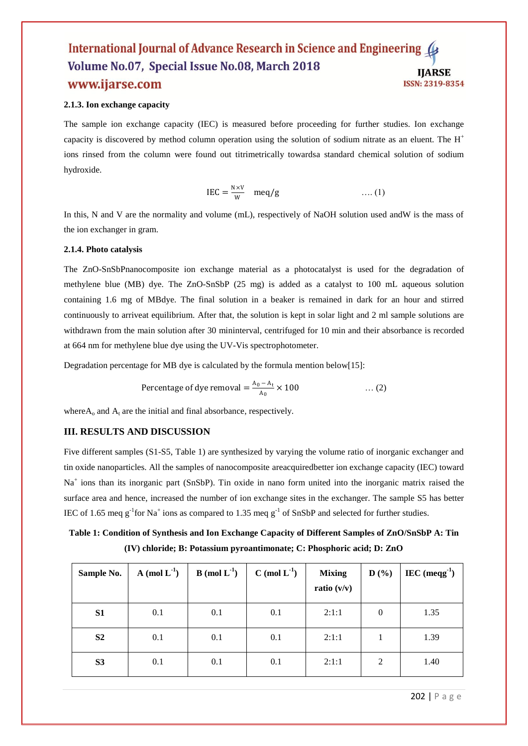### **2.1.3. Ion exchange capacity**

The sample ion exchange capacity (IEC) is measured before proceeding for further studies. Ion exchange capacity is discovered by method column operation using the solution of sodium nitrate as an eluent. The  $H^+$ ions rinsed from the column were found out titrimetrically towardsa standard chemical solution of sodium hydroxide.

$$
IEC = \frac{N \times V}{W} \quad meq/g \qquad \qquad \dots (1)
$$

In this, N and V are the normality and volume (mL), respectively of NaOH solution used andW is the mass of the ion exchanger in gram.

## **2.1.4. Photo catalysis**

The ZnO-SnSbPnanocomposite ion exchange material as a photocatalyst is used for the degradation of methylene blue (MB) dye. The ZnO-SnSbP (25 mg) is added as a catalyst to 100 mL aqueous solution containing 1.6 mg of MBdye. The final solution in a beaker is remained in dark for an hour and stirred continuously to arriveat equilibrium. After that, the solution is kept in solar light and 2 ml sample solutions are withdrawn from the main solution after 30 mininterval, centrifuged for 10 min and their absorbance is recorded at 664 nm for methylene blue dye using the UV-Vis spectrophotometer.

Degradation percentage for MB dye is calculated by the formula mention below[15]:

Percentage of dye removal = 
$$
\frac{A_0 - A_t}{A_0} \times 100
$$
 ... (2)

where $A_0$  and  $A_t$  are the initial and final absorbance, respectively.

## **III. RESULTS AND DISCUSSION**

Five different samples (S1-S5, Table 1) are synthesized by varying the volume ratio of inorganic exchanger and tin oxide nanoparticles. All the samples of nanocomposite areacquiredbetter ion exchange capacity (IEC) toward Na<sup>+</sup> ions than its inorganic part (SnSbP). Tin oxide in nano form united into the inorganic matrix raised the surface area and hence, increased the number of ion exchange sites in the exchanger. The sample S5 has better IEC of 1.65 meq  $g^{-1}$  for Na<sup>+</sup> ions as compared to 1.35 meq  $g^{-1}$  of SnSbP and selected for further studies.

**Table 1: Condition of Synthesis and Ion Exchange Capacity of Different Samples of ZnO/SnSbP A: Tin (IV) chloride; B: Potassium pyroantimonate; C: Phosphoric acid; D: ZnO**

| Sample No.     | A (mol $L^{-1}$ ) | <b>B</b> (mol $L^{-1}$ ) | $C \pmod{L^{-1}}$ | <b>Mixing</b><br>ratio $(v/v)$ | D(%)     | $\text{IEC (meq}^{1})$ |
|----------------|-------------------|--------------------------|-------------------|--------------------------------|----------|------------------------|
| S1             | 0.1               | 0.1                      | 0.1               | 2:1:1                          | $\theta$ | 1.35                   |
| S <sub>2</sub> | 0.1               | 0.1                      | 0.1               | 2:1:1                          |          | 1.39                   |
| S3             | 0.1               | 0.1                      | 0.1               | 2:1:1                          | 2        | 1.40                   |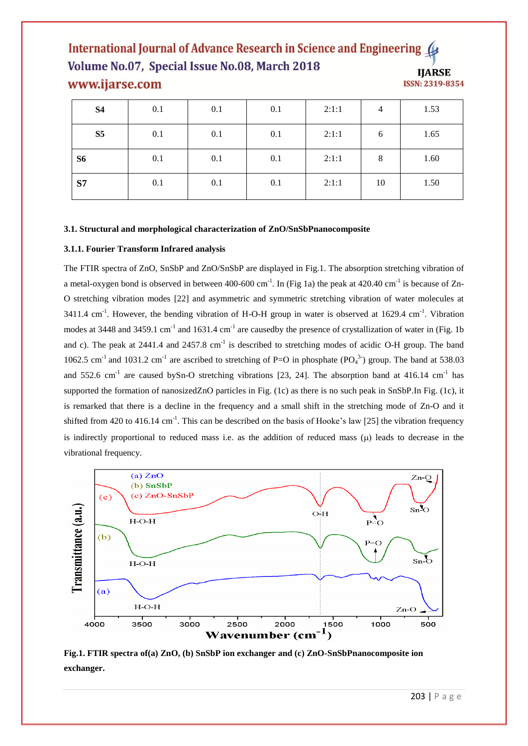| <b>S4</b>      | 0.1 | 0.1 | 0.1 | 2:1:1 | $\overline{4}$ | 1.53 |
|----------------|-----|-----|-----|-------|----------------|------|
| S <sub>5</sub> | 0.1 | 0.1 | 0.1 | 2:1:1 | 6              | 1.65 |
| S <sub>6</sub> | 0.1 | 0.1 | 0.1 | 2:1:1 | 8              | 1.60 |
| S7             | 0.1 | 0.1 | 0.1 | 2:1:1 | 10             | 1.50 |

#### **3.1. Structural and morphological characterization of ZnO/SnSbPnanocomposite**

#### **3.1.1. Fourier Transform Infrared analysis**

The FTIR spectra of ZnO, SnSbP and ZnO/SnSbP are displayed in Fig.1. The absorption stretching vibration of a metal-oxygen bond is observed in between 400-600 cm<sup>-1</sup>. In (Fig 1a) the peak at 420.40 cm<sup>-1</sup> is because of Zn-O stretching vibration modes [22] and asymmetric and symmetric stretching vibration of water molecules at 3411.4 cm<sup>-1</sup>. However, the bending vibration of H-O-H group in water is observed at 1629.4 cm<sup>-1</sup>. Vibration modes at 3448 and 3459.1 cm<sup>-1</sup> and 1631.4 cm<sup>-1</sup> are causedby the presence of crystallization of water in (Fig. 1b) and c). The peak at  $2441.4$  and  $2457.8$  cm<sup>-1</sup> is described to stretching modes of acidic O-H group. The band 1062.5 cm<sup>-1</sup> and 1031.2 cm<sup>-1</sup> are ascribed to stretching of P=O in phosphate (PO<sub>4</sub><sup>3</sup>) group. The band at 538.03 and 552.6 cm<sup>-1</sup> are caused bySn-O stretching vibrations [23, 24]. The absorption band at 416.14 cm<sup>-1</sup> has supported the formation of nanosizedZnO particles in Fig. (1c) as there is no such peak in SnSbP.In Fig. (1c), it is remarked that there is a decline in the frequency and a small shift in the stretching mode of Zn-O and it shifted from 420 to 416.14 cm<sup>-1</sup>. This can be described on the basis of Hooke's law [25] the vibration frequency is indirectly proportional to reduced mass i.e. as the addition of reduced mass  $(\mu)$  leads to decrease in the vibrational frequency.



**Fig.1. FTIR spectra of(a) ZnO, (b) SnSbP ion exchanger and (c) ZnO-SnSbPnanocomposite ion exchanger.**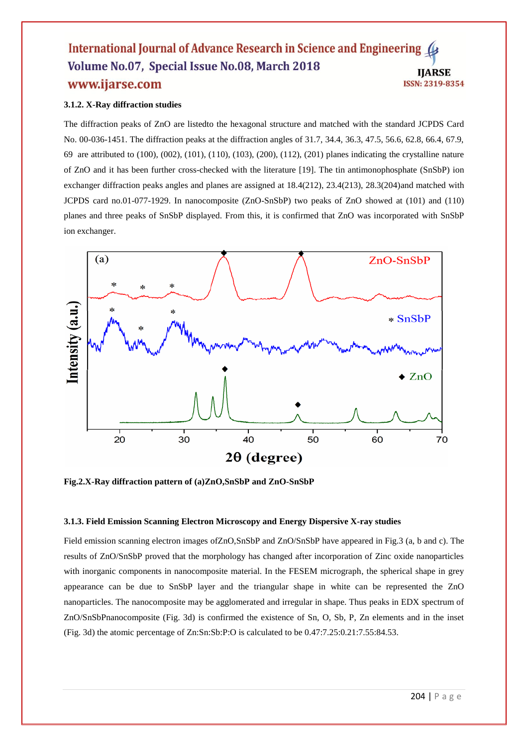#### **3.1.2. X-Ray diffraction studies**

The diffraction peaks of ZnO are listedto the hexagonal structure and matched with the standard JCPDS Card No. 00-036-1451. The diffraction peaks at the diffraction angles of 31.7, 34.4, 36.3, 47.5, 56.6, 62.8, 66.4, 67.9, 69 are attributed to (100), (002), (101), (110), (103), (200), (112), (201) planes indicating the crystalline nature of ZnO and it has been further cross-checked with the literature [19]. The tin antimonophosphate (SnSbP) ion exchanger diffraction peaks angles and planes are assigned at 18.4(212), 23.4(213), 28.3(204)and matched with JCPDS card no.01-077-1929. In nanocomposite (ZnO-SnSbP) two peaks of ZnO showed at (101) and (110) planes and three peaks of SnSbP displayed. From this, it is confirmed that ZnO was incorporated with SnSbP ion exchanger.



**Fig.2.X-Ray diffraction pattern of (a)ZnO,SnSbP and ZnO-SnSbP**

#### **3.1.3. Field Emission Scanning Electron Microscopy and Energy Dispersive X-ray studies**

Field emission scanning electron images ofZnO,SnSbP and ZnO/SnSbP have appeared in Fig.3 (a, b and c). The results of ZnO/SnSbP proved that the morphology has changed after incorporation of Zinc oxide nanoparticles with inorganic components in nanocomposite material. In the FESEM micrograph, the spherical shape in grey appearance can be due to SnSbP layer and the triangular shape in white can be represented the ZnO nanoparticles. The nanocomposite may be agglomerated and irregular in shape. Thus peaks in EDX spectrum of ZnO/SnSbPnanocomposite (Fig. 3d) is confirmed the existence of Sn, O, Sb, P, Zn elements and in the inset (Fig. 3d) the atomic percentage of Zn:Sn:Sb:P:O is calculated to be 0.47:7.25:0.21:7.55:84.53.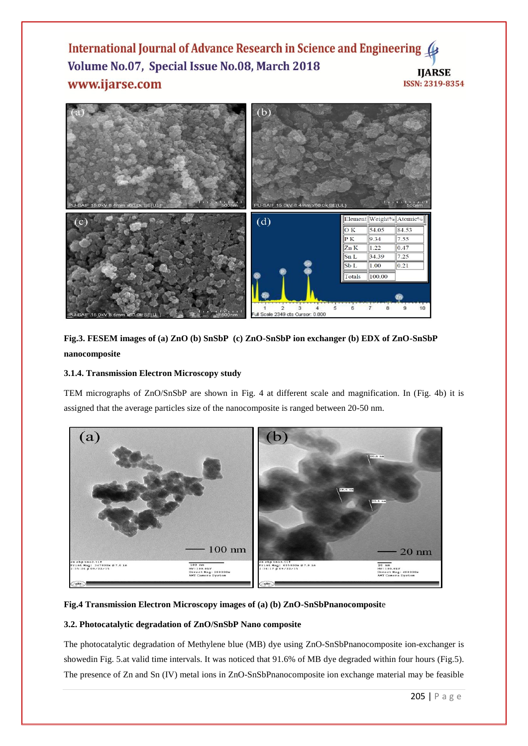

**Fig.3. FESEM images of (a) ZnO (b) SnSbP (c) ZnO-SnSbP ion exchanger (b) EDX of ZnO-SnSbP nanocomposite**

## **3.1.4. Transmission Electron Microscopy study**

TEM micrographs of ZnO/SnSbP are shown in Fig. 4 at different scale and magnification. In (Fig. 4b) it is assigned that the average particles size of the nanocomposite is ranged between 20-50 nm.



# **Fig.4 Transmission Electron Microscopy images of (a) (b) ZnO-SnSbPnanocomposit**e

## **3.2. Photocatalytic degradation of ZnO/SnSbP Nano composite**

The photocatalytic degradation of Methylene blue (MB) dye using ZnO-SnSbPnanocomposite ion-exchanger is showedin Fig. 5.at valid time intervals. It was noticed that 91.6% of MB dye degraded within four hours (Fig.5). The presence of Zn and Sn (IV) metal ions in ZnO-SnSbPnanocomposite ion exchange material may be feasible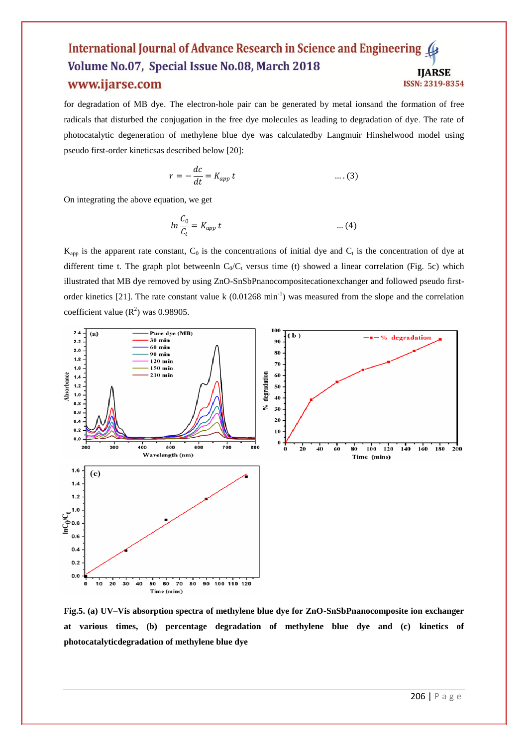for degradation of MB dye. The electron-hole pair can be generated by metal ionsand the formation of free radicals that disturbed the conjugation in the free dye molecules as leading to degradation of dye. The rate of photocatalytic degeneration of methylene blue dye was calculatedby Langmuir Hinshelwood model using pseudo first-order kineticsas described below [20]:

$$
r = -\frac{dc}{dt} = K_{app} t \qquad \qquad \dots (3)
$$

On integrating the above equation, we get

$$
ln \frac{C_0}{C_t} = K_{app} t \qquad \qquad \dots (4)
$$

 $K_{app}$  is the apparent rate constant,  $C_0$  is the concentrations of initial dye and  $C_t$  is the concentration of dye at different time t. The graph plot betweenln  $C_0/C_t$  versus time (t) showed a linear correlation (Fig. 5c) which illustrated that MB dye removed by using ZnO-SnSbPnanocompositecationexchanger and followed pseudo firstorder kinetics [21]. The rate constant value  $k$  (0.01268 min<sup>-1</sup>) was measured from the slope and the correlation coefficient value  $(R^2)$  was 0.98905.



**Fig.5. (a) UV–Vis absorption spectra of methylene blue dye for ZnO-SnSbPnanocomposite ion exchanger at various times, (b) percentage degradation of methylene blue dye and (c) kinetics of photocatalyticdegradation of methylene blue dye**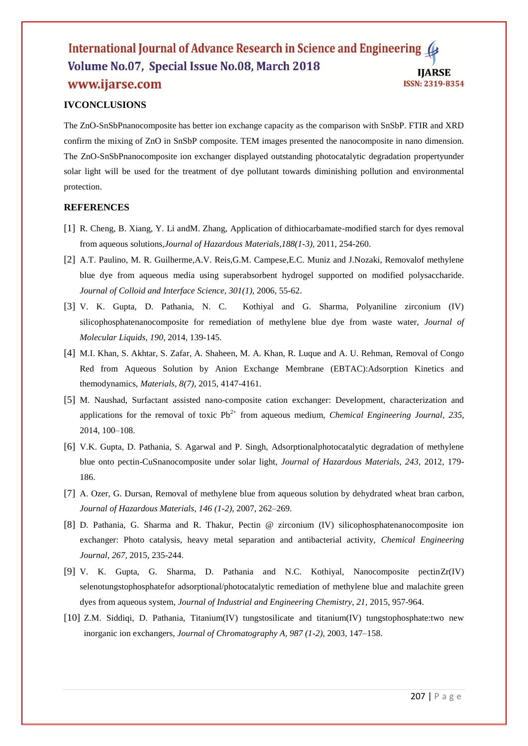# **IVCONCLUSIONS**

The ZnO-SnSbPnanocomposite has better ion exchange capacity as the comparison with SnSbP. FTIR and XRD confirm the mixing of ZnO in SnSbP composite. TEM images presented the nanocomposite in nano dimension. The ZnO-SnSbPnanocomposite ion exchanger displayed outstanding photocatalytic degradation propertyunder solar light will be used for the treatment of dye pollutant towards diminishing pollution and environmental protection.

## **REFERENCES**

- [1] R. Cheng, B. Xiang, Y. Li andM. Zhang, Application of dithiocarbamate-modified starch for dyes removal from aqueous solutions,*Journal of Hazardous Materials,188(1-3),* 2011, 254-260.
- [2] A.T. Paulino, M. R. Guilherme,A.V. Reis,G.M. Campese,E.C. Muniz and J.Nozaki, Removalof methylene blue dye from aqueous media using superabsorbent hydrogel supported on modified polysaccharide. *Journal of Colloid and Interface Science, 301(1)*, 2006, 55-62.
- [3] V. K. Gupta, D. Pathania, N. C. Kothiyal and G. Sharma, Polyaniline zirconium (IV) silicophosphatenanocomposite for remediation of methylene blue dye from waste water, *Journal of Molecular Liquids, 190,* 2014, 139-145.
- [4] M.I. Khan, S. Akhtar, S. Zafar, A. Shaheen, M. A. Khan, R. Luque and A. U. Rehman, Removal of Congo Red from Aqueous Solution by Anion Exchange Membrane (EBTAC):Adsorption Kinetics and themodynamics, *Materials, 8(7)*, 2015, 4147-4161.
- [5] M. Naushad, Surfactant assisted nano-composite cation exchanger: Development, characterization and applications for the removal of toxic  $Pb^{2+}$  from aqueous medium, *Chemical Engineering Journal*, 235, 2014, 100–108.
- [6] V.K. Gupta, D. Pathania, S. Agarwal and P. Singh, Adsorptionalphotocatalytic degradation of methylene blue onto pectin-CuSnanocomposite under solar light, *Journal of Hazardous Materials, 243,* 2012, 179- 186.
- [7] A. Ozer, G. Dursan, Removal of methylene blue from aqueous solution by dehydrated wheat bran carbon, *Journal of Hazardous Materials, 146 (1-2)*, 2007, 262–269.
- [8] D. Pathania, G. Sharma and R. Thakur, Pectin @ zirconium (IV) silicophosphatenanocomposite ion exchanger: Photo catalysis, heavy metal separation and antibacterial activity, *Chemical Engineering Journal, 267,* 2015, 235-244.
- [9] V. K. Gupta, G. Sharma, D. Pathania and N.C. Kothiyal, Nanocomposite pectinZr(IV) selenotungstophosphatefor adsorptional/photocatalytic remediation of methylene blue and malachite green dyes from aqueous system, *Journal of Industrial and Engineering Chemistry, 21,* 2015, 957-964.
- [10] Z.M. Siddiqi, D. Pathania, Titanium(IV) tungstosilicate and titanium(IV) tungstophosphate:two new inorganic ion exchangers, *Journal of Chromatography A, 987 (1-2)*, 2003, 147–158.